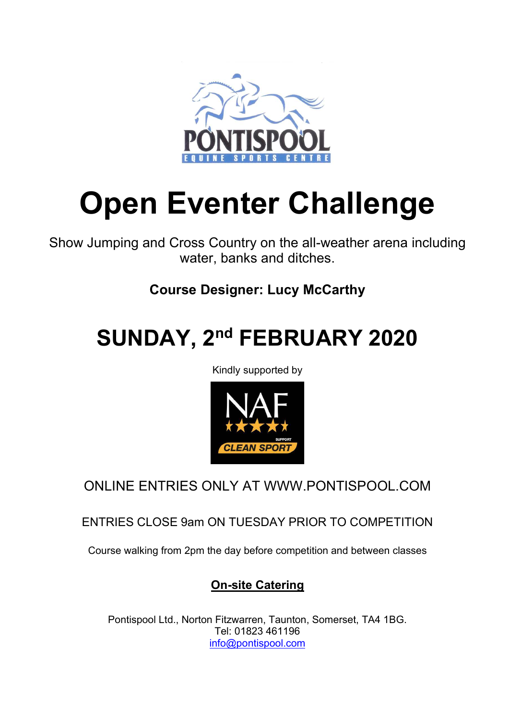

# Open Eventer Challenge

Show Jumping and Cross Country on the all-weather arena including water, banks and ditches.

## Course Designer: Lucy McCarthy

## SUNDAY, 2nd FEBRUARY 2020

Kindly supported by



ONLINE ENTRIES ONLY AT WWW.PONTISPOOL.COM

ENTRIES CLOSE 9am ON TUESDAY PRIOR TO COMPETITION

Course walking from 2pm the day before competition and between classes

## On-site Catering

Pontispool Ltd., Norton Fitzwarren, Taunton, Somerset, TA4 1BG. Tel: 01823 461196 info@pontispool.com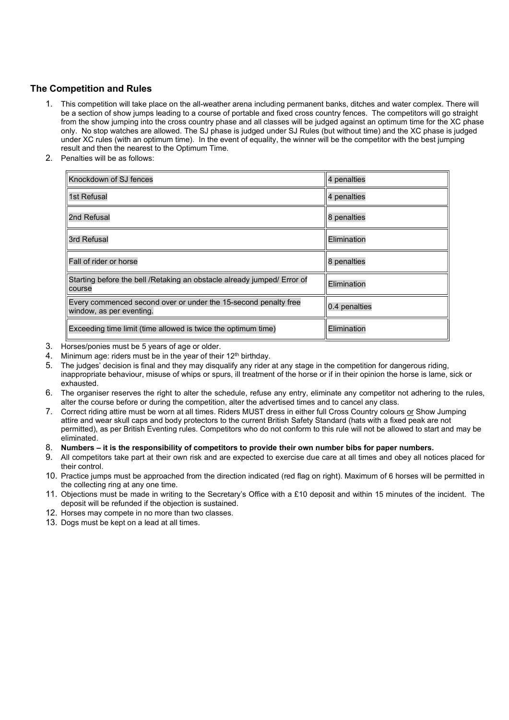### The Competition and Rules

- 1. This competition will take place on the all-weather arena including permanent banks, ditches and water complex. There will be a section of show jumps leading to a course of portable and fixed cross country fences. The competitors will go straight from the show jumping into the cross country phase and all classes will be judged against an optimum time for the XC phase only. No stop watches are allowed. The SJ phase is judged under SJ Rules (but without time) and the XC phase is judged under XC rules (with an optimum time). In the event of equality, the winner will be the competitor with the best jumping result and then the nearest to the Optimum Time.
- 2. Penalties will be as follows:

| Knockdown of SJ fences                                                                      | 4 penalties   |
|---------------------------------------------------------------------------------------------|---------------|
| 1st Refusal                                                                                 | 4 penalties   |
| 2nd Refusal                                                                                 | 8 penalties   |
| 3rd Refusal                                                                                 | Elimination   |
| Fall of rider or horse                                                                      | 8 penalties   |
| Starting before the bell / Retaking an obstacle already jumped/ Error of<br>course          | Elimination   |
| Every commenced second over or under the 15-second penalty free<br>window, as per eventing. | 0.4 penalties |
| Exceeding time limit (time allowed is twice the optimum time)                               | Elimination   |

- 3. Horses/ponies must be 5 years of age or older.
- 4. Minimum age: riders must be in the year of their 12<sup>th</sup> birthday.
- 5. The judges' decision is final and they may disqualify any rider at any stage in the competition for dangerous riding, inappropriate behaviour, misuse of whips or spurs, ill treatment of the horse or if in their opinion the horse is lame, sick or exhausted.
- 6. The organiser reserves the right to alter the schedule, refuse any entry, eliminate any competitor not adhering to the rules, alter the course before or during the competition, alter the advertised times and to cancel any class.
- 7. Correct riding attire must be worn at all times. Riders MUST dress in either full Cross Country colours or Show Jumping attire and wear skull caps and body protectors to the current British Safety Standard (hats with a fixed peak are not permitted), as per British Eventing rules. Competitors who do not conform to this rule will not be allowed to start and may be eliminated.
- 8. Numbers it is the responsibility of competitors to provide their own number bibs for paper numbers.
- 9. All competitors take part at their own risk and are expected to exercise due care at all times and obey all notices placed for their control.
- 10. Practice jumps must be approached from the direction indicated (red flag on right). Maximum of 6 horses will be permitted in the collecting ring at any one time.
- 11. Objections must be made in writing to the Secretary's Office with a £10 deposit and within 15 minutes of the incident. The deposit will be refunded if the objection is sustained.
- 12. Horses may compete in no more than two classes.
- 13. Dogs must be kept on a lead at all times.